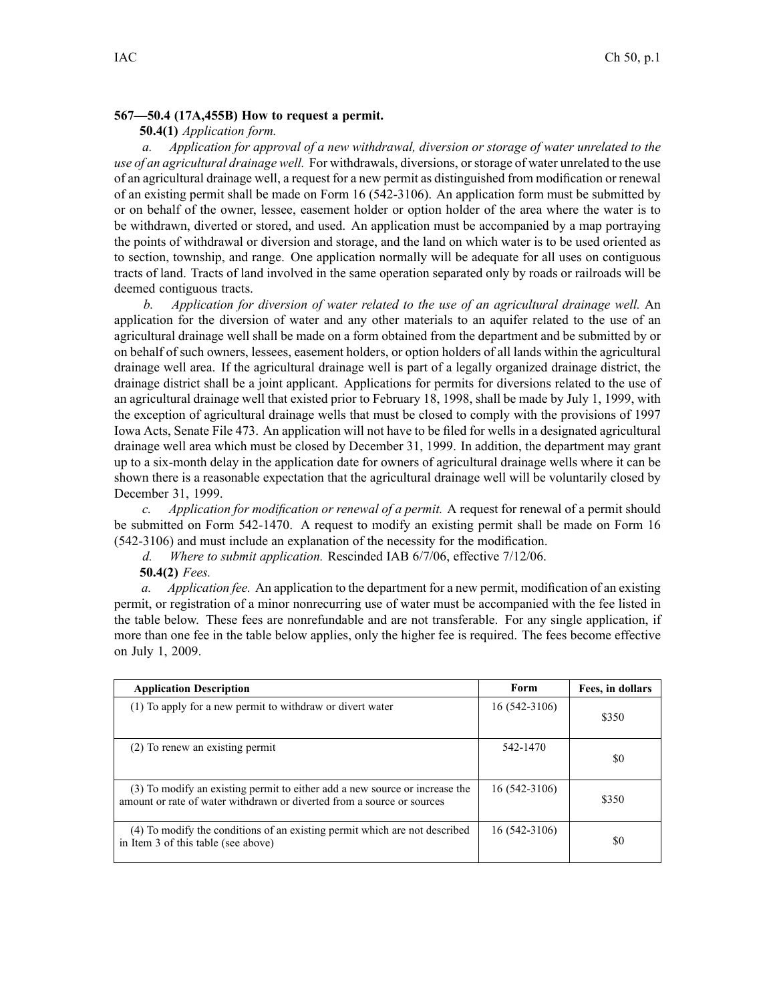## **567—50.4 (17A,455B) How to request <sup>a</sup> permit.**

## **50.4(1)** *Application form.*

*a. Application for approval of <sup>a</sup> new withdrawal, diversion or storage of water unrelated to the use of an agricultural drainage well.* For withdrawals, diversions, orstorage of water unrelated to the use of an agricultural drainage well, <sup>a</sup> reques<sup>t</sup> for <sup>a</sup> new permit as distinguished from modification or renewal of an existing permit shall be made on Form 16 (542-3106). An application form must be submitted by or on behalf of the owner, lessee, easement holder or option holder of the area where the water is to be withdrawn, diverted or stored, and used. An application must be accompanied by <sup>a</sup> map portraying the points of withdrawal or diversion and storage, and the land on which water is to be used oriented as to section, township, and range. One application normally will be adequate for all uses on contiguous tracts of land. Tracts of land involved in the same operation separated only by roads or railroads will be deemed contiguous tracts.

*b. Application for diversion of water related to the use of an agricultural drainage well.* An application for the diversion of water and any other materials to an aquifer related to the use of an agricultural drainage well shall be made on <sup>a</sup> form obtained from the department and be submitted by or on behalf of such owners, lessees, easement holders, or option holders of all lands within the agricultural drainage well area. If the agricultural drainage well is par<sup>t</sup> of <sup>a</sup> legally organized drainage district, the drainage district shall be <sup>a</sup> joint applicant. Applications for permits for diversions related to the use of an agricultural drainage well that existed prior to February 18, 1998, shall be made by July 1, 1999, with the exception of agricultural drainage wells that must be closed to comply with the provisions of 1997 Iowa Acts, Senate File 473. An application will not have to be filed for wells in <sup>a</sup> designated agricultural drainage well area which must be closed by December 31, 1999. In addition, the department may gran<sup>t</sup> up to <sup>a</sup> six-month delay in the application date for owners of agricultural drainage wells where it can be shown there is <sup>a</sup> reasonable expectation that the agricultural drainage well will be voluntarily closed by December 31, 1999.

*c. Application for modification or renewal of <sup>a</sup> permit.* A reques<sup>t</sup> for renewal of <sup>a</sup> permit should be submitted on Form 542-1470. A reques<sup>t</sup> to modify an existing permit shall be made on Form 16 (542-3106) and must include an explanation of the necessity for the modification.

*d. Where to submit application.* Rescinded IAB 6/7/06, effective 7/12/06.

**50.4(2)** *Fees.*

*a. Application fee.* An application to the department for <sup>a</sup> new permit, modification of an existing permit, or registration of <sup>a</sup> minor nonrecurring use of water must be accompanied with the fee listed in the table below. These fees are nonrefundable and are not transferable. For any single application, if more than one fee in the table below applies, only the higher fee is required. The fees become effective on July 1, 2009.

| <b>Application Description</b>                                                                                                                        | Form           | Fees, in dollars |
|-------------------------------------------------------------------------------------------------------------------------------------------------------|----------------|------------------|
| (1) To apply for a new permit to withdraw or divert water                                                                                             | 16 (542-3106)  | \$350            |
| (2) To renew an existing permit                                                                                                                       | 542-1470       | \$0              |
| (3) To modify an existing permit to either add a new source or increase the<br>amount or rate of water withdrawn or diverted from a source or sources | 16 (542-3106)  | \$350            |
| (4) To modify the conditions of an existing permit which are not described<br>in Item 3 of this table (see above)                                     | $16(542-3106)$ | \$0              |